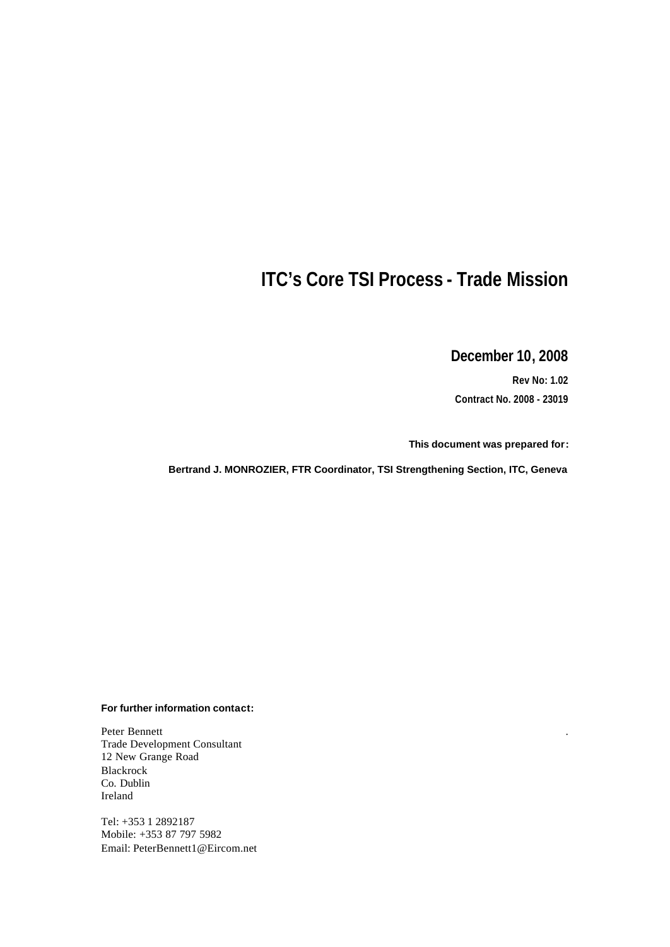# **ITC's Core TSI Process - Trade Mission**

**December 10, 2008**

**Rev No: 1.02 Contract No. 2008 - 23019**

.

**This document was prepared for:**

**Bertrand J. MONROZIER, FTR Coordinator, TSI Strengthening Section, ITC, Geneva**

#### **For further information contact:**

Peter Bennett Trade Development Consultant 12 New Grange Road Blackrock Co. Dublin Ireland

Tel: +353 1 2892187 Mobile: +353 87 797 5982 Email: PeterBennett1@Eircom.net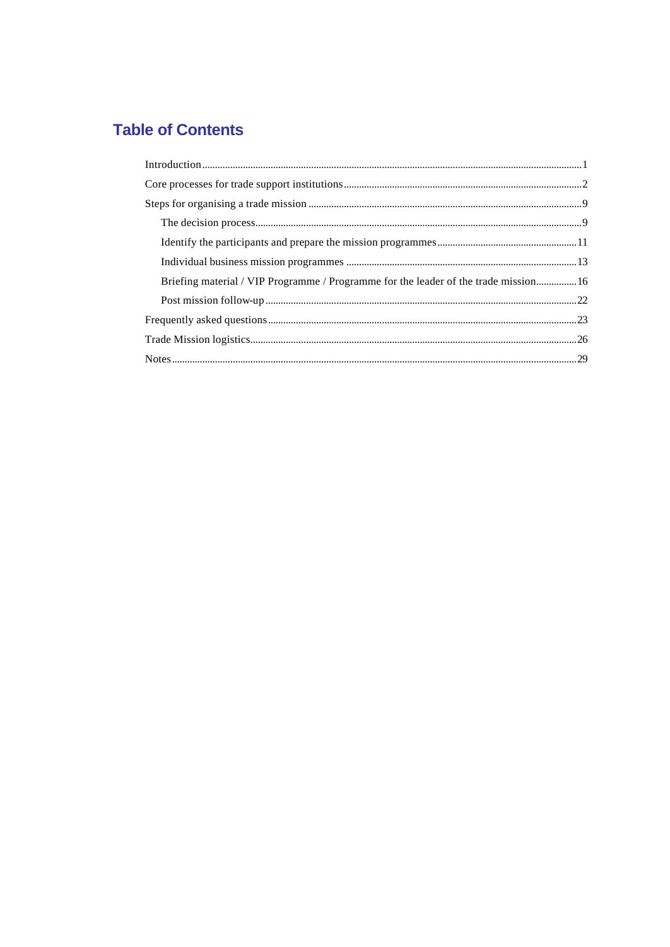# **Table of Contents**

| Briefing material / VIP Programme / Programme for the leader of the trade mission16 |  |
|-------------------------------------------------------------------------------------|--|
|                                                                                     |  |
|                                                                                     |  |
|                                                                                     |  |
|                                                                                     |  |
|                                                                                     |  |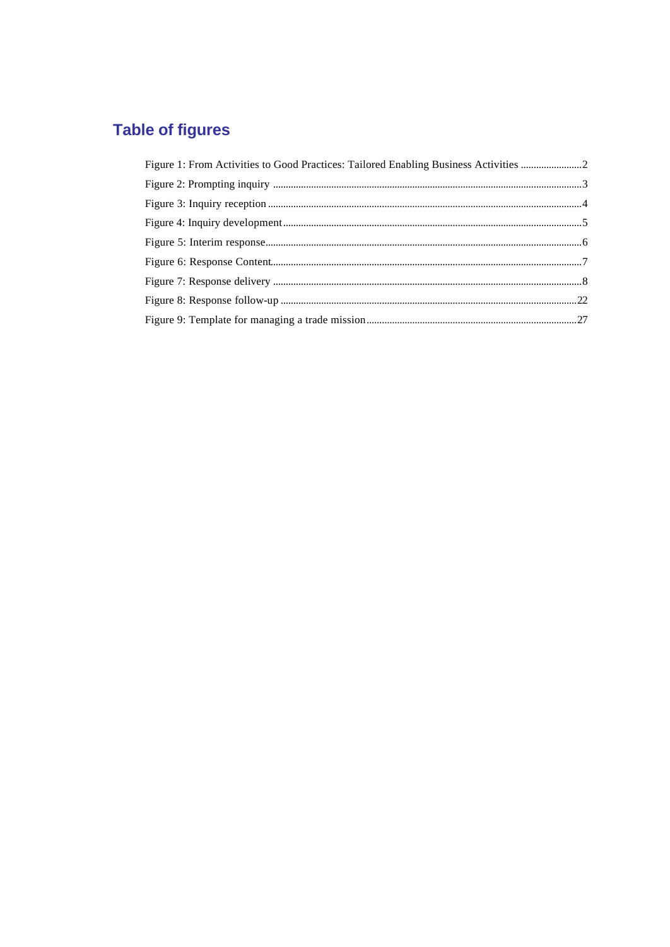# **Table of figures**

| Figure 1: From Activities to Good Practices: Tailored Enabling Business Activities |  |
|------------------------------------------------------------------------------------|--|
|                                                                                    |  |
|                                                                                    |  |
|                                                                                    |  |
|                                                                                    |  |
|                                                                                    |  |
|                                                                                    |  |
|                                                                                    |  |
|                                                                                    |  |
|                                                                                    |  |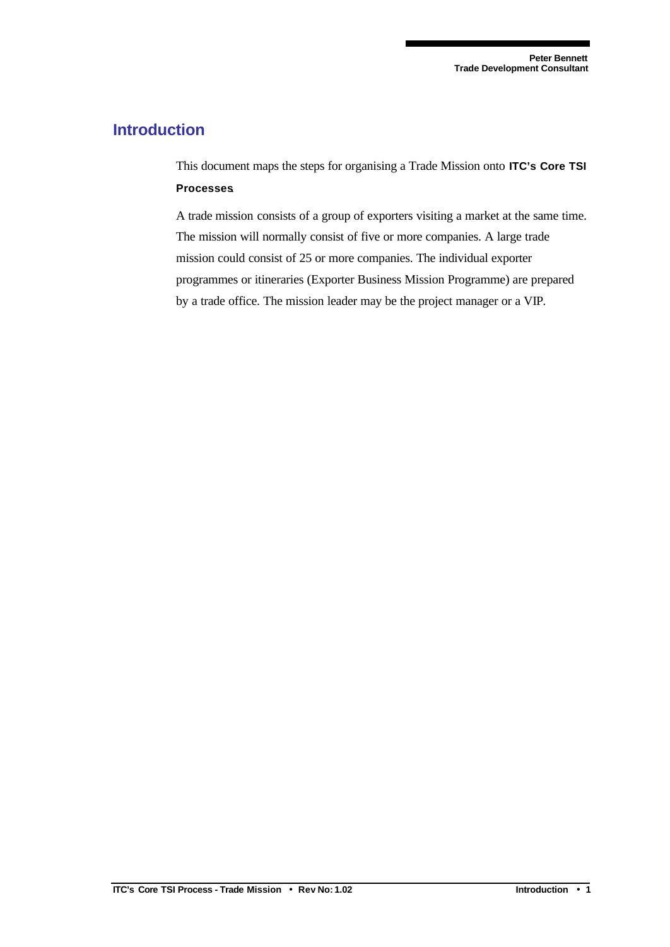## **Introduction**

This document maps the steps for organising a Trade Mission onto **ITC's Core TSI Processes**.

A trade mission consists of a group of exporters visiting a market at the same time. The mission will normally consist of five or more companies. A large trade mission could consist of 25 or more companies. The individual exporter programmes or itineraries (Exporter Business Mission Programme) are prepared by a trade office. The mission leader may be the project manager or a VIP.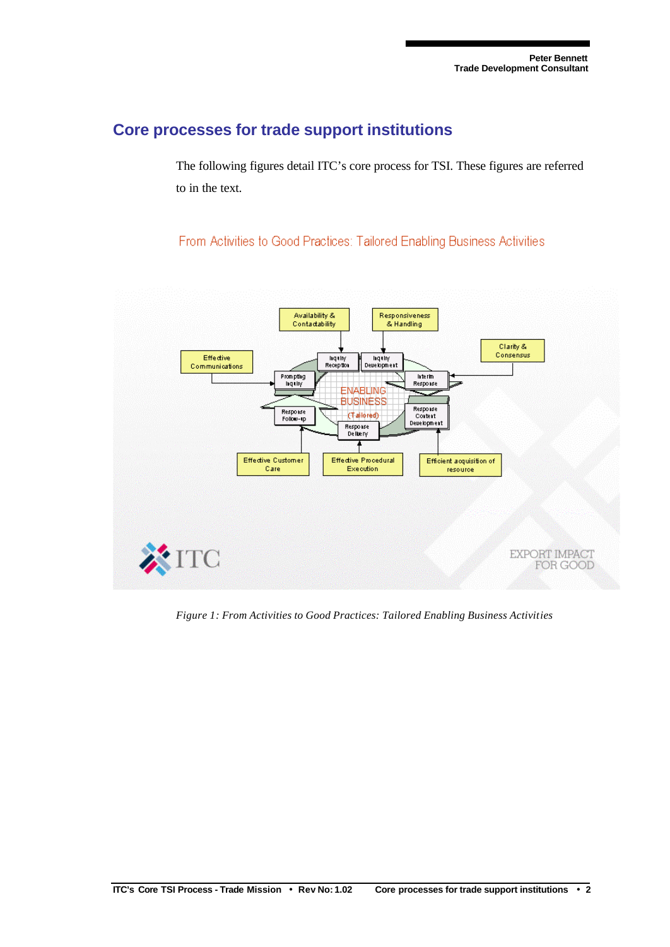## **Core processes for trade support institutions**

The following figures detail ITC's core process for TSI. These figures are referred to in the text.

From Activities to Good Practices: Tailored Enabling Business Activities



*Figure 1: From Activities to Good Practices: Tailored Enabling Business Activities*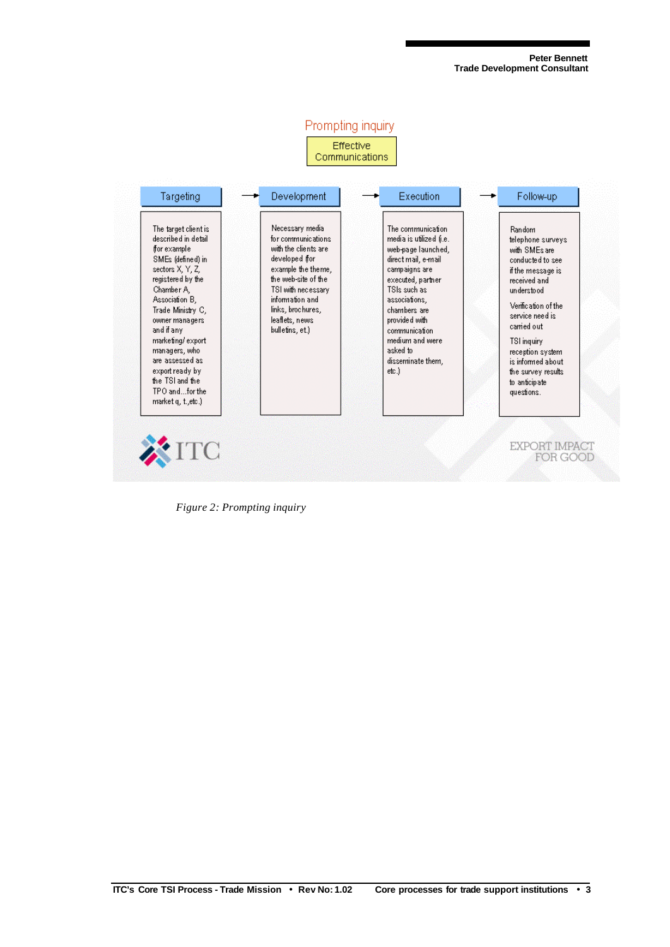

*Figure 2: Prompting inquiry*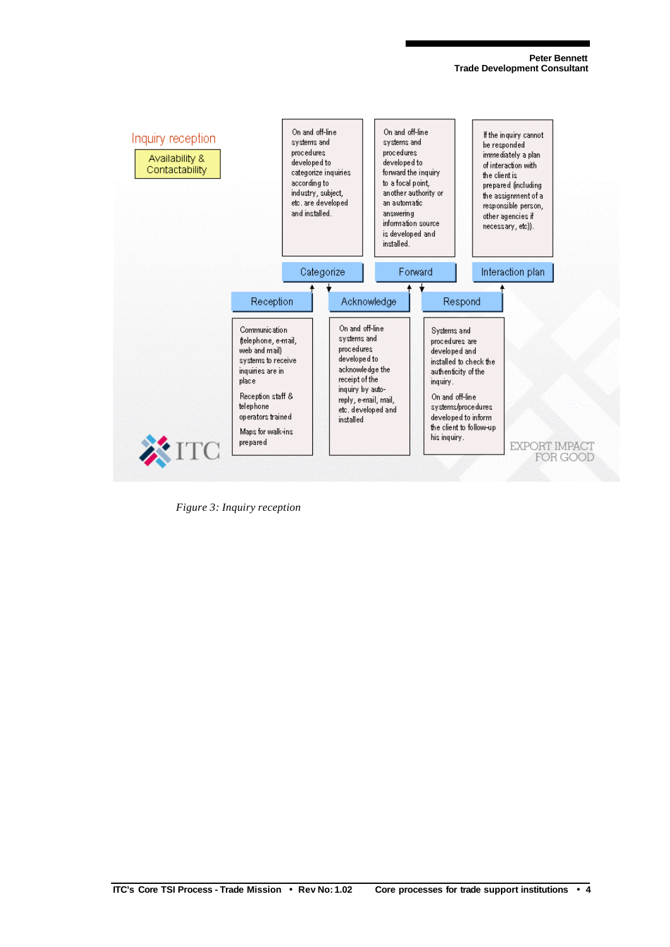

*Figure 3: Inquiry reception*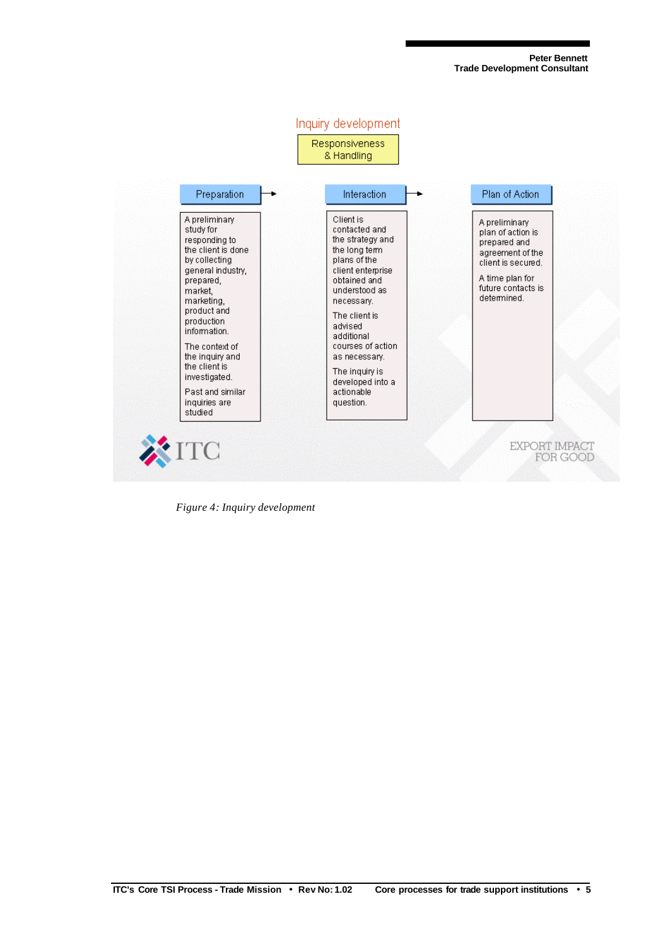

*Figure 4: Inquiry development*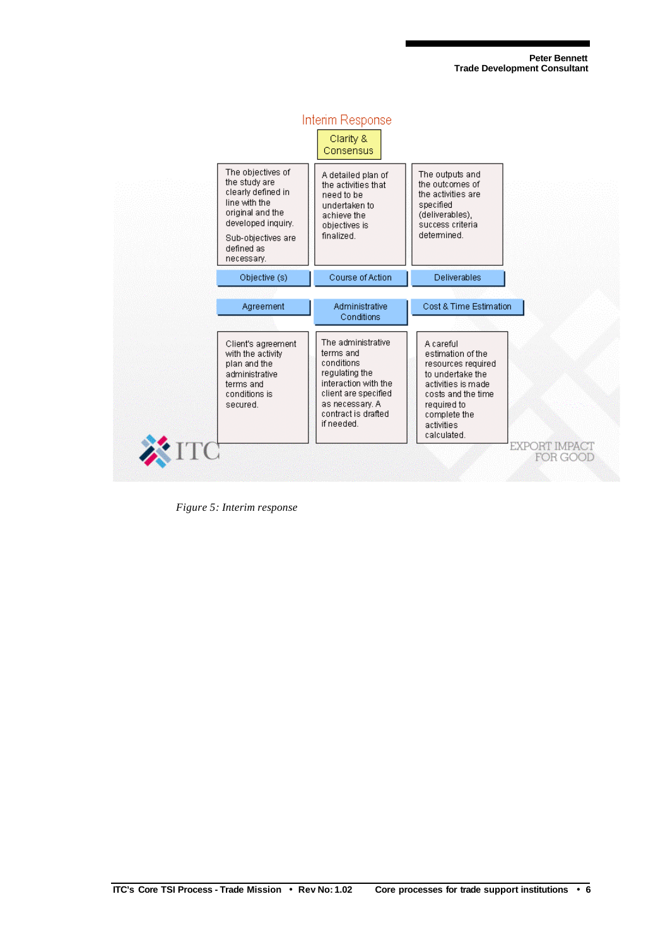

*Figure 5: Interim response*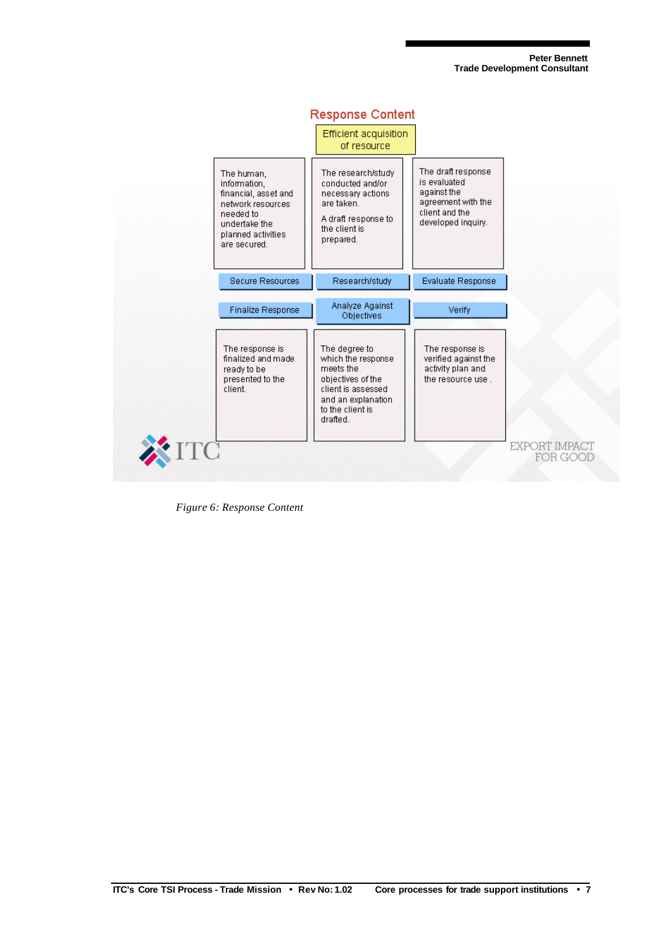

**Response Content** 

*Figure 6: Response Content*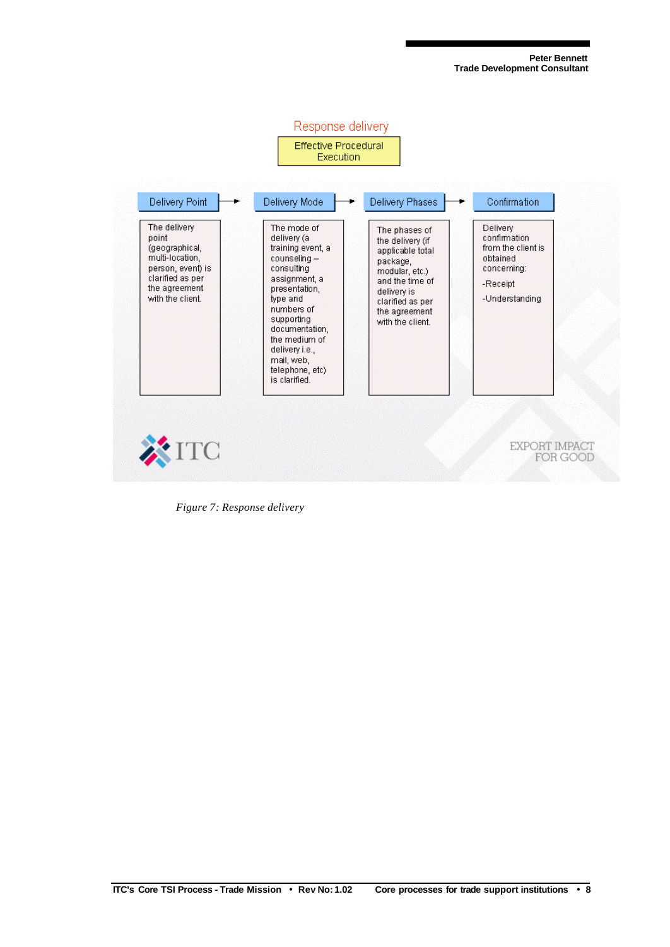

*Figure 7: Response delivery*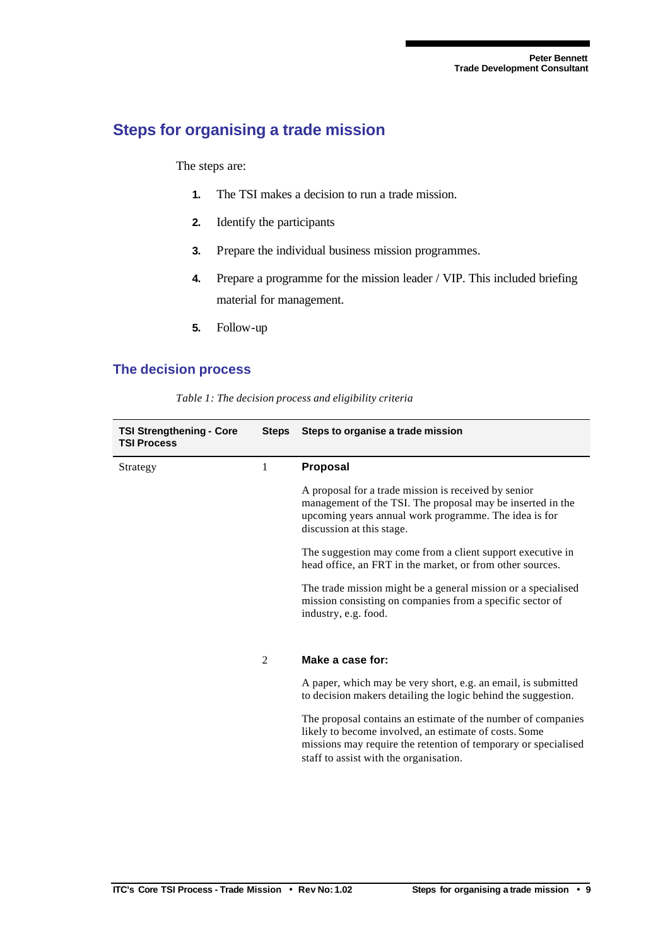## **Steps for organising a trade mission**

The steps are:

- **1.** The TSI makes a decision to run a trade mission.
- **2.** Identify the participants
- **3.** Prepare the individual business mission programmes.
- **4.** Prepare a programme for the mission leader / VIP. This included briefing material for management.
- **5.** Follow-up

#### **The decision process**

| <b>TSI Strengthening - Core</b><br><b>TSI Process</b> | <b>Steps</b>   | Steps to organise a trade mission                                                                                                                                                                                                 |
|-------------------------------------------------------|----------------|-----------------------------------------------------------------------------------------------------------------------------------------------------------------------------------------------------------------------------------|
| Strategy                                              | 1              | Proposal                                                                                                                                                                                                                          |
|                                                       |                | A proposal for a trade mission is received by senior<br>management of the TSI. The proposal may be inserted in the<br>upcoming years annual work programme. The idea is for<br>discussion at this stage.                          |
|                                                       |                | The suggestion may come from a client support executive in<br>head office, an FRT in the market, or from other sources.                                                                                                           |
|                                                       |                | The trade mission might be a general mission or a specialised<br>mission consisting on companies from a specific sector of<br>industry, e.g. food.                                                                                |
|                                                       | $\overline{2}$ | Make a case for:                                                                                                                                                                                                                  |
|                                                       |                | A paper, which may be very short, e.g. an email, is submitted<br>to decision makers detailing the logic behind the suggestion.                                                                                                    |
|                                                       |                | The proposal contains an estimate of the number of companies<br>likely to become involved, an estimate of costs. Some<br>missions may require the retention of temporary or specialised<br>staff to assist with the organisation. |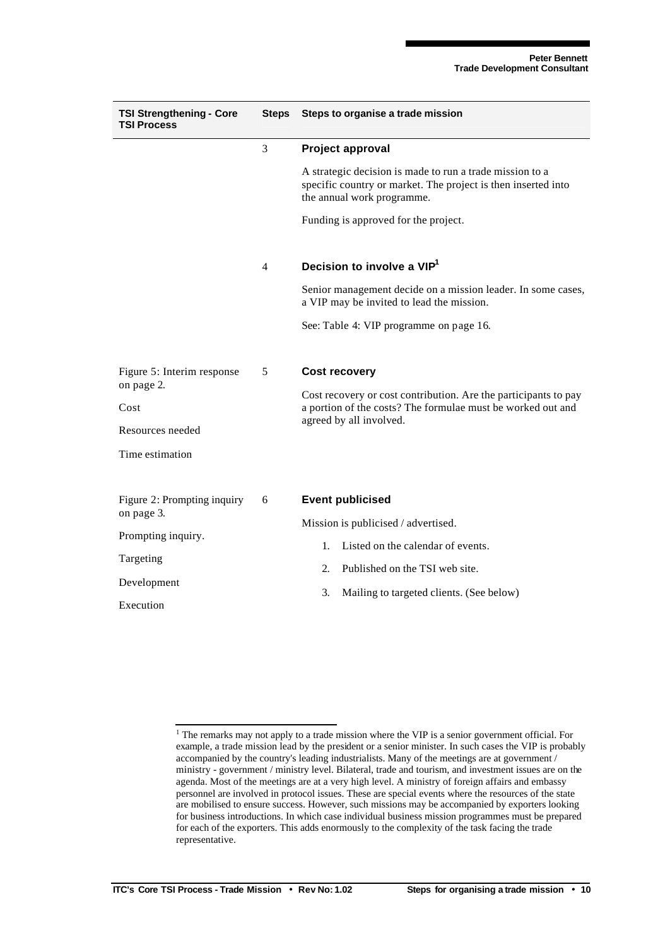| <b>TSI Strengthening - Core</b><br><b>TSI Process</b>                                       | <b>Steps</b> | Steps to organise a trade mission                                                                                                                                                                               |  |
|---------------------------------------------------------------------------------------------|--------------|-----------------------------------------------------------------------------------------------------------------------------------------------------------------------------------------------------------------|--|
|                                                                                             | 3            | Project approval                                                                                                                                                                                                |  |
|                                                                                             |              | A strategic decision is made to run a trade mission to a<br>specific country or market. The project is then inserted into<br>the annual work programme.                                                         |  |
|                                                                                             |              | Funding is approved for the project.                                                                                                                                                                            |  |
|                                                                                             | 4            | Decision to involve a VIP <sup>1</sup>                                                                                                                                                                          |  |
|                                                                                             |              | Senior management decide on a mission leader. In some cases,<br>a VIP may be invited to lead the mission.                                                                                                       |  |
|                                                                                             |              | See: Table 4: VIP programme on page 16.                                                                                                                                                                         |  |
| Figure 5: Interim response<br>on page 2.<br>Cost<br>Resources needed<br>Time estimation     | 5            | <b>Cost recovery</b><br>Cost recovery or cost contribution. Are the participants to pay<br>a portion of the costs? The formulae must be worked out and<br>agreed by all involved.                               |  |
| Figure 2: Prompting inquiry<br>on page 3.<br>Prompting inquiry.<br>Targeting<br>Development | 6            | <b>Event publicised</b><br>Mission is publicised / advertised.<br>Listed on the calendar of events.<br>$\mathbf{1}$ .<br>Published on the TSI web site.<br>2.<br>3.<br>Mailing to targeted clients. (See below) |  |
| Execution                                                                                   |              |                                                                                                                                                                                                                 |  |

<sup>&</sup>lt;sup>1</sup> The remarks may not apply to a trade mission where the VIP is a senior government official. For example, a trade mission lead by the president or a senior minister. In such cases the VIP is probably accompanied by the country's leading industrialists. Many of the meetings are at government / ministry - government / ministry level. Bilateral, trade and tourism, and investment issues are on the agenda. Most of the meetings are at a very high level. A ministry of foreign affairs and embassy personnel are involved in protocol issues. These are special events where the resources of the state are mobilised to ensure success. However, such missions may be accompanied by exporters looking for business introductions. In which case individual business mission programmes must be prepared for each of the exporters. This adds enormously to the complexity of the task facing the trade representative.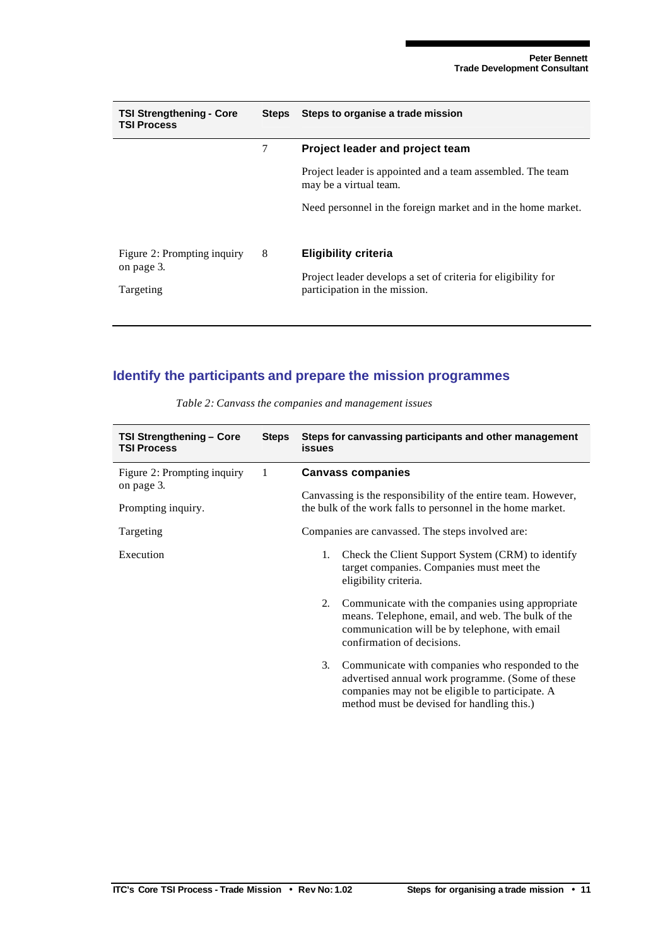|   | Steps to organise a trade mission                                                              |
|---|------------------------------------------------------------------------------------------------|
| 7 | Project leader and project team                                                                |
|   | Project leader is appointed and a team assembled. The team<br>may be a virtual team.           |
|   | Need personnel in the foreign market and in the home market.                                   |
| 8 | <b>Eligibility criteria</b>                                                                    |
|   | Project leader develops a set of criteria for eligibility for<br>participation in the mission. |
|   | Steps                                                                                          |

## **Identify the participants and prepare the mission programmes**

| TSI Strengthening - Core<br><b>TSI Process</b> | <b>Steps</b> | Steps for canvassing participants and other management<br>issues                                                                                                                                           |  |
|------------------------------------------------|--------------|------------------------------------------------------------------------------------------------------------------------------------------------------------------------------------------------------------|--|
| Figure 2: Prompting inquiry<br>on page 3.      | 1            | <b>Canvass companies</b>                                                                                                                                                                                   |  |
| Prompting inquiry.                             |              | Canvassing is the responsibility of the entire team. However,<br>the bulk of the work falls to personnel in the home market.                                                                               |  |
| Targeting                                      |              | Companies are canvassed. The steps involved are:                                                                                                                                                           |  |
| Execution                                      |              | Check the Client Support System (CRM) to identify<br>1.<br>target companies. Companies must meet the<br>eligibility criteria.                                                                              |  |
|                                                |              | Communicate with the companies using appropriate<br>2.<br>means. Telephone, email, and web. The bulk of the<br>communication will be by telephone, with email<br>confirmation of decisions.                |  |
|                                                |              | Communicate with companies who responded to the<br>3.<br>advertised annual work programme. (Some of these<br>companies may not be eligible to participate. A<br>method must be devised for handling this.) |  |

*Table 2: Canvass the companies and management issues*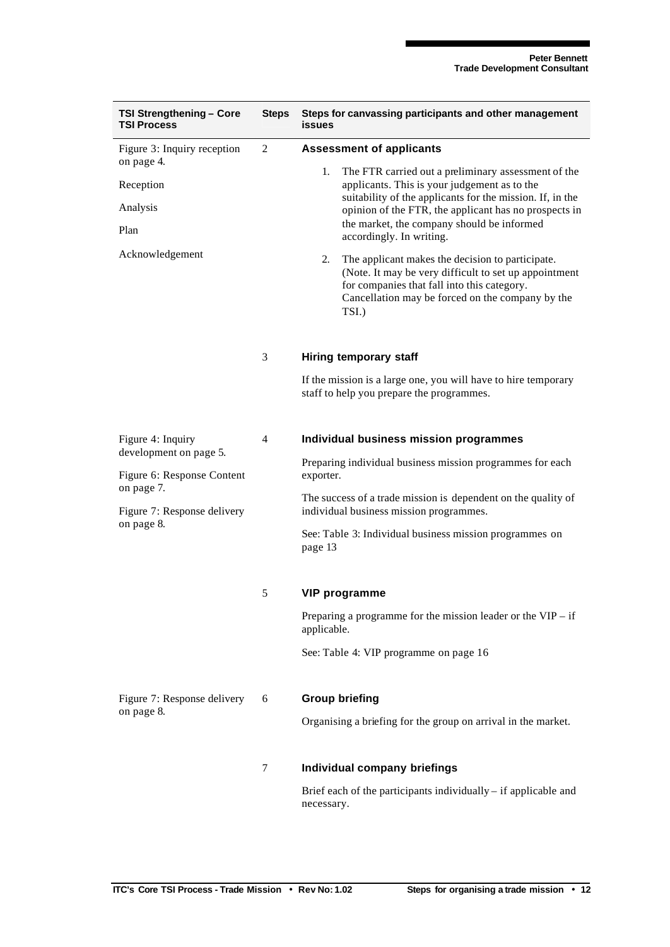|  | <b>TSI Strengthening - Core</b><br><b>TSI Process</b> | <b>Steps</b>   | Steps for canvassing participants and other management<br>issues                                                                                                                                                             |  |
|--|-------------------------------------------------------|----------------|------------------------------------------------------------------------------------------------------------------------------------------------------------------------------------------------------------------------------|--|
|  | Figure 3: Inquiry reception<br>on page 4.             | 2              | <b>Assessment of applicants</b>                                                                                                                                                                                              |  |
|  | Reception                                             |                | 1.<br>The FTR carried out a preliminary assessment of the<br>applicants. This is your judgement as to the<br>suitability of the applicants for the mission. If, in the                                                       |  |
|  | Analysis                                              |                | opinion of the FTR, the applicant has no prospects in<br>the market, the company should be informed                                                                                                                          |  |
|  | Plan                                                  |                | accordingly. In writing.                                                                                                                                                                                                     |  |
|  | Acknowledgement                                       |                | 2.<br>The applicant makes the decision to participate.<br>(Note. It may be very difficult to set up appointment)<br>for companies that fall into this category.<br>Cancellation may be forced on the company by the<br>TSI.) |  |
|  |                                                       | 3              | <b>Hiring temporary staff</b>                                                                                                                                                                                                |  |
|  |                                                       |                | If the mission is a large one, you will have to hire temporary<br>staff to help you prepare the programmes.                                                                                                                  |  |
|  | Figure 4: Inquiry                                     | $\overline{4}$ | Individual business mission programmes                                                                                                                                                                                       |  |
|  | development on page 5.<br>Figure 6: Response Content  |                | Preparing individual business mission programmes for each<br>exporter.                                                                                                                                                       |  |
|  | on page 7.<br>Figure 7: Response delivery             |                | The success of a trade mission is dependent on the quality of<br>individual business mission programmes.                                                                                                                     |  |
|  | on page 8.                                            |                | See: Table 3: Individual business mission programmes on<br>page 13                                                                                                                                                           |  |
|  |                                                       | 5              | <b>VIP programme</b>                                                                                                                                                                                                         |  |
|  |                                                       |                | Preparing a programme for the mission leader or the $VIP - if$<br>applicable.                                                                                                                                                |  |
|  |                                                       |                | See: Table 4: VIP programme on page 16                                                                                                                                                                                       |  |
|  | Figure 7: Response delivery                           | 6              | <b>Group briefing</b>                                                                                                                                                                                                        |  |
|  | on page 8.                                            |                | Organising a briefing for the group on arrival in the market.                                                                                                                                                                |  |
|  |                                                       | 7              | Individual company briefings                                                                                                                                                                                                 |  |
|  |                                                       |                | Brief each of the participants individually – if applicable and<br>necessary.                                                                                                                                                |  |
|  |                                                       |                |                                                                                                                                                                                                                              |  |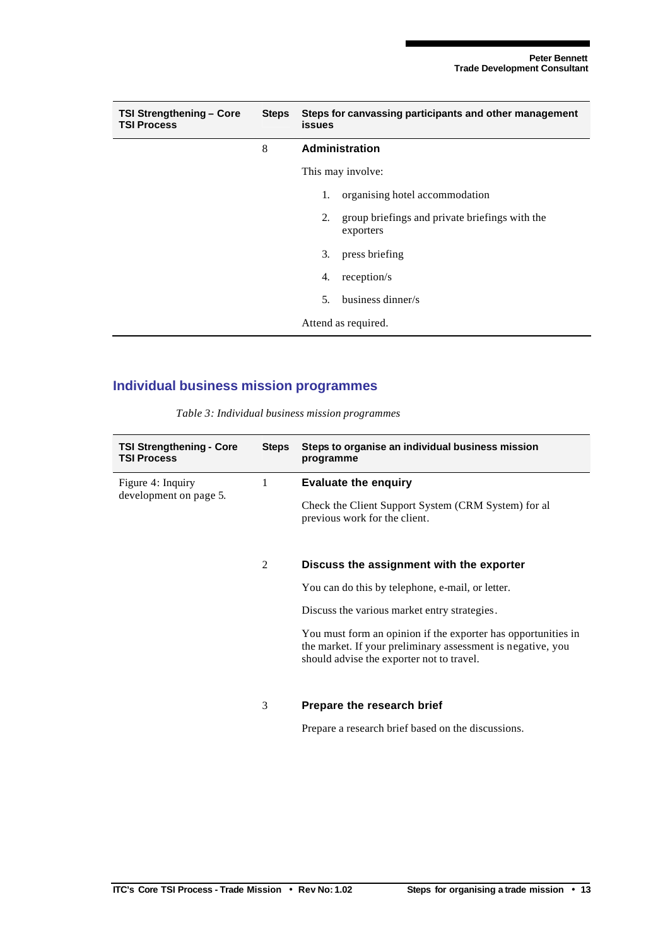| <b>TSI Strengthening - Core</b><br><b>TSI Process</b> | <b>Steps</b> | Steps for canvassing participants and other management<br>issues |                                                             |
|-------------------------------------------------------|--------------|------------------------------------------------------------------|-------------------------------------------------------------|
|                                                       | 8            |                                                                  | Administration                                              |
|                                                       |              |                                                                  | This may involve:                                           |
|                                                       |              | 1.                                                               | organising hotel accommodation                              |
|                                                       |              | 2.                                                               | group briefings and private briefings with the<br>exporters |
|                                                       |              | 3.                                                               | press briefing                                              |
|                                                       |              | 4.                                                               | reception/s                                                 |
|                                                       |              | 5.                                                               | business dinner/s                                           |
|                                                       |              |                                                                  | Attend as required.                                         |

### **Individual business mission programmes**

|  |  | Table 3: Individual business mission programmes |  |
|--|--|-------------------------------------------------|--|
|  |  |                                                 |  |

| <b>TSI Strengthening - Core</b><br><b>TSI Process</b> | <b>Steps</b> | Steps to organise an individual business mission<br>programme                                                                                                             |
|-------------------------------------------------------|--------------|---------------------------------------------------------------------------------------------------------------------------------------------------------------------------|
| Figure 4: Inquiry                                     | 1            | <b>Evaluate the enquiry</b>                                                                                                                                               |
| development on page 5.                                |              | Check the Client Support System (CRM System) for al<br>previous work for the client.                                                                                      |
|                                                       |              |                                                                                                                                                                           |
|                                                       | 2            | Discuss the assignment with the exporter                                                                                                                                  |
|                                                       |              | You can do this by telephone, e-mail, or letter.                                                                                                                          |
|                                                       |              | Discuss the various market entry strategies.                                                                                                                              |
|                                                       |              | You must form an opinion if the exporter has opportunities in<br>the market. If your preliminary assessment is negative, you<br>should advise the exporter not to travel. |
|                                                       |              |                                                                                                                                                                           |
|                                                       | 3            | Prepare the research brief                                                                                                                                                |
|                                                       |              | Prepare a research brief based on the discussions.                                                                                                                        |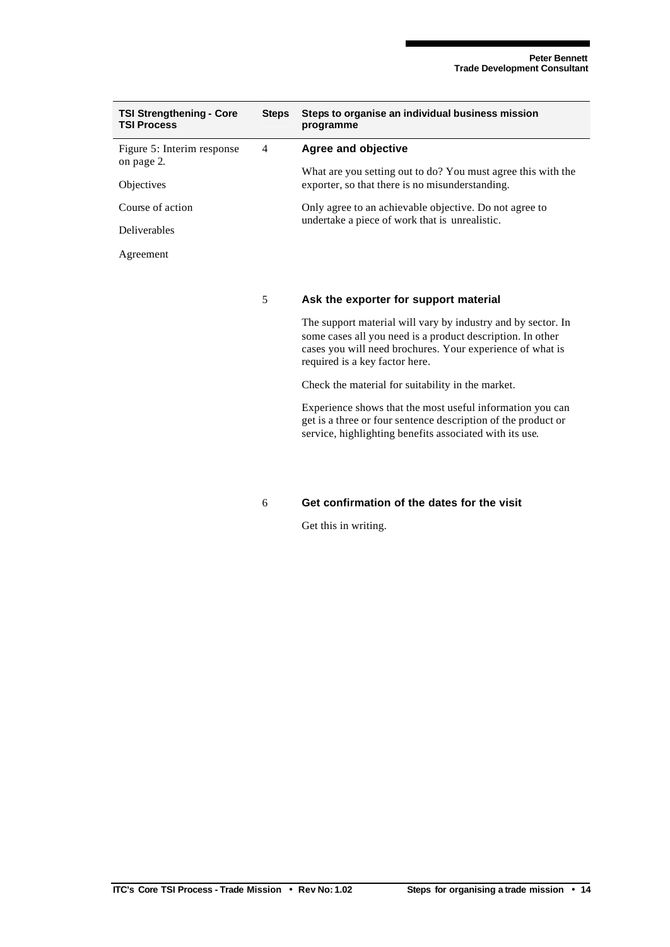| <b>TSI Strengthening - Core</b><br><b>TSI Process</b> | <b>Steps</b> | Steps to organise an individual business mission<br>programme                                                                                                                                                             |
|-------------------------------------------------------|--------------|---------------------------------------------------------------------------------------------------------------------------------------------------------------------------------------------------------------------------|
| Figure 5: Interim response                            | 4            | Agree and objective                                                                                                                                                                                                       |
| on page 2.                                            |              | What are you setting out to do? You must agree this with the                                                                                                                                                              |
| Objectives                                            |              | exporter, so that there is no misunderstanding.                                                                                                                                                                           |
| Course of action                                      |              | Only agree to an achievable objective. Do not agree to<br>undertake a piece of work that is unrealistic.                                                                                                                  |
| <b>Deliverables</b>                                   |              |                                                                                                                                                                                                                           |
| Agreement                                             |              |                                                                                                                                                                                                                           |
|                                                       |              |                                                                                                                                                                                                                           |
|                                                       | 5            | Ask the exporter for support material                                                                                                                                                                                     |
|                                                       |              | The support material will vary by industry and by sector. In<br>some cases all you need is a product description. In other<br>cases you will need brochures. Your experience of what is<br>required is a key factor here. |
|                                                       |              | Check the material for suitability in the market.                                                                                                                                                                         |

Experience shows that the most useful information you can get is a three or four sentence description of the product or service, highlighting benefits associated with its use.

#### 6 **Get confirmation of the dates for the visit**

Get this in writing.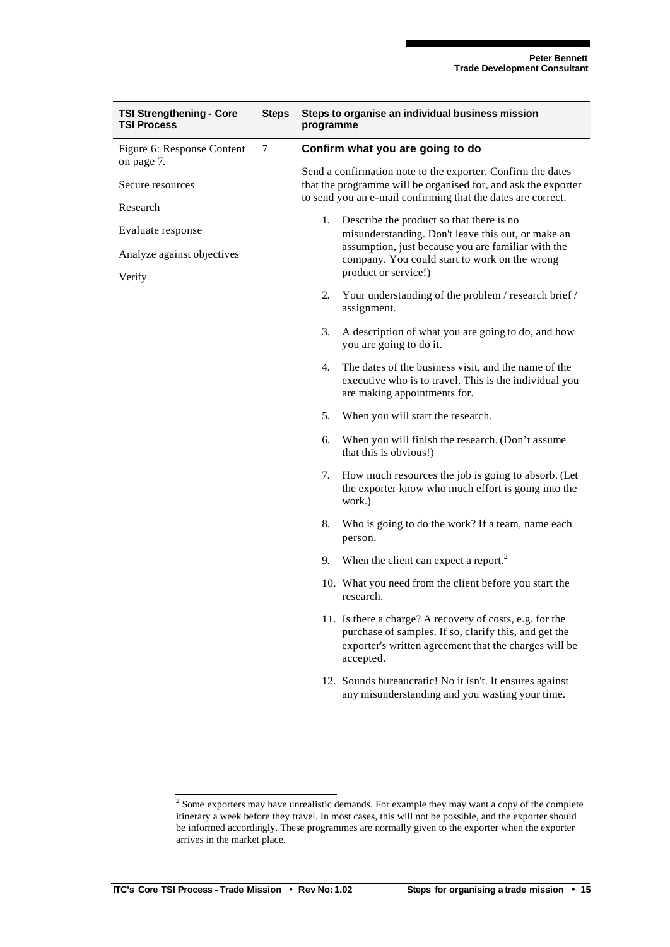| <b>TSI Strengthening - Core</b><br><b>TSI Process</b> | <b>Steps</b> | Steps to organise an individual business mission<br>programme                                                                 |                                                                                                                                                                                         |  |
|-------------------------------------------------------|--------------|-------------------------------------------------------------------------------------------------------------------------------|-----------------------------------------------------------------------------------------------------------------------------------------------------------------------------------------|--|
| Figure 6: Response Content                            | $\tau$       | Confirm what you are going to do                                                                                              |                                                                                                                                                                                         |  |
| on page 7.<br>Secure resources                        |              | Send a confirmation note to the exporter. Confirm the dates<br>that the programme will be organised for, and ask the exporter |                                                                                                                                                                                         |  |
| Research                                              |              | to send you an e-mail confirming that the dates are correct.                                                                  |                                                                                                                                                                                         |  |
| Evaluate response                                     |              |                                                                                                                               | 1. Describe the product so that there is no<br>misunderstanding. Don't leave this out, or make an                                                                                       |  |
| Analyze against objectives                            |              |                                                                                                                               | assumption, just because you are familiar with the<br>company. You could start to work on the wrong<br>product or service!)                                                             |  |
| Verify                                                |              | 2.                                                                                                                            | Your understanding of the problem / research brief /<br>assignment.                                                                                                                     |  |
|                                                       |              | 3.                                                                                                                            | A description of what you are going to do, and how<br>you are going to do it.                                                                                                           |  |
|                                                       |              | 4.                                                                                                                            | The dates of the business visit, and the name of the<br>executive who is to travel. This is the individual you<br>are making appointments for.                                          |  |
|                                                       |              | 5.                                                                                                                            | When you will start the research.                                                                                                                                                       |  |
|                                                       |              | 6.                                                                                                                            | When you will finish the research. (Don't assume<br>that this is obvious!)                                                                                                              |  |
|                                                       |              | 7.                                                                                                                            | How much resources the job is going to absorb. (Let<br>the exporter know who much effort is going into the<br>work.)                                                                    |  |
|                                                       |              | 8.                                                                                                                            | Who is going to do the work? If a team, name each<br>person.                                                                                                                            |  |
|                                                       |              | 9.                                                                                                                            | When the client can expect a report. <sup>2</sup>                                                                                                                                       |  |
|                                                       |              |                                                                                                                               | 10. What you need from the client before you start the<br>research.                                                                                                                     |  |
|                                                       |              |                                                                                                                               | 11. Is there a charge? A recovery of costs, e.g. for the<br>purchase of samples. If so, clarify this, and get the<br>exporter's written agreement that the charges will be<br>accepted. |  |
|                                                       |              |                                                                                                                               | 12. Sounds bureaucratic! No it isn't. It ensures against<br>any misunderstanding and you wasting your time.                                                                             |  |

<sup>&</sup>lt;sup>2</sup> Some exporters may have unrealistic demands. For example they may want a copy of the complete itinerary a week before they travel. In most cases, this will not be possible, and the exporter should be informed accordingly. These programmes are normally given to the exporter when the exporter arrives in the market place.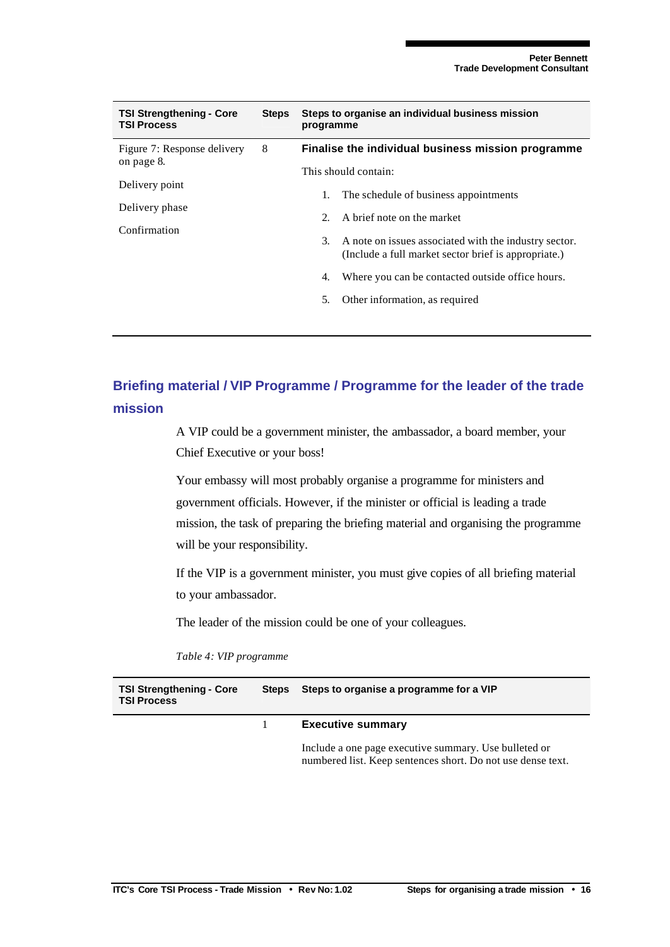| <b>TSI Strengthening - Core</b><br><b>TSI Process</b> | <b>Steps</b> | Steps to organise an individual business mission<br>programme |                                                                                                               |  |  |
|-------------------------------------------------------|--------------|---------------------------------------------------------------|---------------------------------------------------------------------------------------------------------------|--|--|
| Figure 7: Response delivery<br>on page 8.             | 8            |                                                               | Finalise the individual business mission programme                                                            |  |  |
|                                                       |              |                                                               | This should contain:                                                                                          |  |  |
| Delivery point<br>Delivery phase<br>Confirmation      |              | 1.                                                            | The schedule of business appointments                                                                         |  |  |
|                                                       |              | $2^{2}$                                                       | A brief note on the market                                                                                    |  |  |
|                                                       |              | 3.                                                            | A note on issues associated with the industry sector.<br>(Include a full market sector brief is appropriate.) |  |  |
|                                                       |              | 4.                                                            | Where you can be contacted outside office hours.                                                              |  |  |
|                                                       |              | 5.                                                            | Other information, as required                                                                                |  |  |
|                                                       |              |                                                               |                                                                                                               |  |  |

## **Briefing material / VIP Programme / Programme for the leader of the trade mission**

A VIP could be a government minister, the ambassador, a board member, your Chief Executive or your boss!

Your embassy will most probably organise a programme for ministers and government officials. However, if the minister or official is leading a trade mission, the task of preparing the briefing material and organising the programme will be your responsibility.

If the VIP is a government minister, you must give copies of all briefing material to your ambassador.

The leader of the mission could be one of your colleagues.

*Table 4: VIP programme*

| <b>TSI Strengthening - Core</b><br><b>TSI Process</b> | <b>Steps</b> | Steps to organise a programme for a VIP                                                                              |  |
|-------------------------------------------------------|--------------|----------------------------------------------------------------------------------------------------------------------|--|
|                                                       |              | <b>Executive summary</b>                                                                                             |  |
|                                                       |              | Include a one page executive summary. Use bulleted or<br>numbered list. Keep sentences short. Do not use dense text. |  |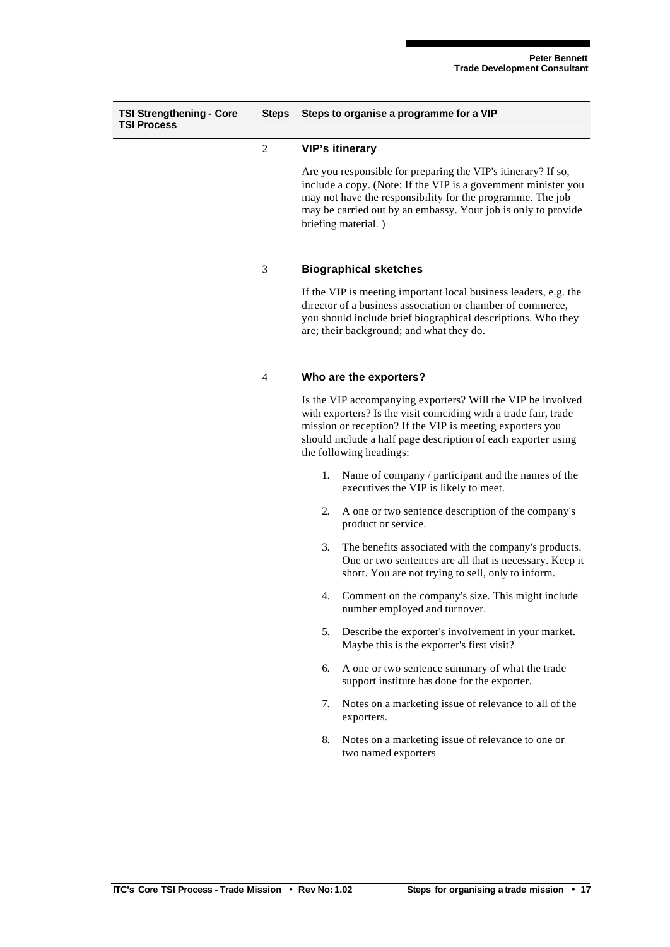| <b>TSI Strengthening - Core</b><br><b>TSI Process</b> | <b>Steps</b>   | Steps to organise a programme for a VIP                                                                                                                                                                                                                                                  |  |  |
|-------------------------------------------------------|----------------|------------------------------------------------------------------------------------------------------------------------------------------------------------------------------------------------------------------------------------------------------------------------------------------|--|--|
|                                                       | $\overline{c}$ | <b>VIP's itinerary</b>                                                                                                                                                                                                                                                                   |  |  |
|                                                       |                | Are you responsible for preparing the VIP's itinerary? If so,<br>include a copy. (Note: If the VIP is a government minister you<br>may not have the responsibility for the programme. The job<br>may be carried out by an embassy. Your job is only to provide<br>briefing material.)    |  |  |
|                                                       | 3              | <b>Biographical sketches</b>                                                                                                                                                                                                                                                             |  |  |
|                                                       |                | If the VIP is meeting important local business leaders, e.g. the<br>director of a business association or chamber of commerce,<br>you should include brief biographical descriptions. Who they<br>are; their background; and what they do.                                               |  |  |
|                                                       | $\overline{4}$ | Who are the exporters?                                                                                                                                                                                                                                                                   |  |  |
|                                                       |                | Is the VIP accompanying exporters? Will the VIP be involved<br>with exporters? Is the visit coinciding with a trade fair, trade<br>mission or reception? If the VIP is meeting exporters you<br>should include a half page description of each exporter using<br>the following headings: |  |  |
|                                                       |                | Name of company / participant and the names of the<br>1.<br>executives the VIP is likely to meet.                                                                                                                                                                                        |  |  |
|                                                       |                | A one or two sentence description of the company's<br>2.<br>product or service.                                                                                                                                                                                                          |  |  |
|                                                       |                | 3.<br>The benefits associated with the company's products.<br>One or two sentences are all that is necessary. Keep it<br>short. You are not trying to sell, only to inform.                                                                                                              |  |  |
|                                                       |                | Comment on the company's size. This might include<br>4.<br>number employed and turnover.                                                                                                                                                                                                 |  |  |
|                                                       |                | 5.<br>Describe the exporter's involvement in your market.<br>Maybe this is the exporter's first visit?                                                                                                                                                                                   |  |  |
|                                                       |                | A one or two sentence summary of what the trade<br>6.<br>support institute has done for the exporter.                                                                                                                                                                                    |  |  |
|                                                       |                | Notes on a marketing issue of relevance to all of the<br>7.<br>exporters.                                                                                                                                                                                                                |  |  |
|                                                       |                | 8.<br>Notes on a marketing issue of relevance to one or<br>two named exporters                                                                                                                                                                                                           |  |  |
|                                                       |                |                                                                                                                                                                                                                                                                                          |  |  |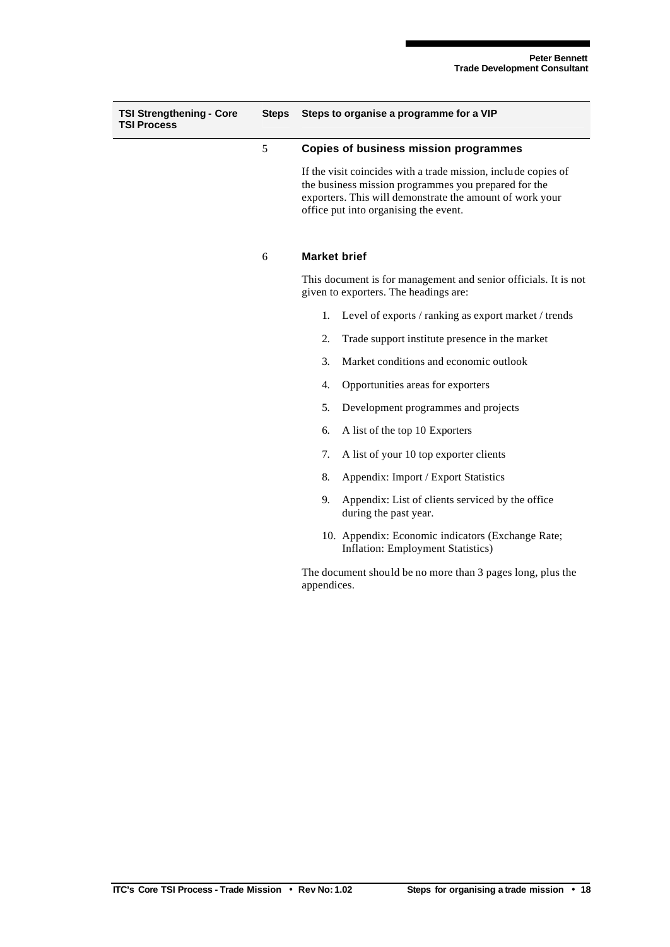| <b>TSI Strengthening - Core</b><br><b>TSI Process</b> | <b>Steps</b> | Steps to organise a programme for a VIP                                                                                                                                                                                     |  |
|-------------------------------------------------------|--------------|-----------------------------------------------------------------------------------------------------------------------------------------------------------------------------------------------------------------------------|--|
|                                                       | 5            | <b>Copies of business mission programmes</b>                                                                                                                                                                                |  |
|                                                       |              | If the visit coincides with a trade mission, include copies of<br>the business mission programmes you prepared for the<br>exporters. This will demonstrate the amount of work your<br>office put into organising the event. |  |
|                                                       | 6            | <b>Market brief</b>                                                                                                                                                                                                         |  |
|                                                       |              | This document is for management and senior officials. It is not<br>given to exporters. The headings are:                                                                                                                    |  |
|                                                       |              | Level of exports / ranking as export market / trends<br>1.                                                                                                                                                                  |  |
|                                                       |              | 2.<br>Trade support institute presence in the market                                                                                                                                                                        |  |
|                                                       |              | 3.<br>Market conditions and economic outlook                                                                                                                                                                                |  |
|                                                       |              | Opportunities areas for exporters<br>4.                                                                                                                                                                                     |  |
|                                                       |              | Development programmes and projects<br>5.                                                                                                                                                                                   |  |
|                                                       |              | A list of the top 10 Exporters<br>6.                                                                                                                                                                                        |  |
|                                                       |              | A list of your 10 top exporter clients<br>7.                                                                                                                                                                                |  |
|                                                       |              | 8.<br>Appendix: Import / Export Statistics                                                                                                                                                                                  |  |
|                                                       |              | 9.<br>Appendix: List of clients serviced by the office<br>during the past year.                                                                                                                                             |  |
|                                                       |              | 10. Appendix: Economic indicators (Exchange Rate;<br>Inflation: Employment Statistics)                                                                                                                                      |  |
|                                                       |              | The document should be no more than 3 pages long, plus the                                                                                                                                                                  |  |

appendices.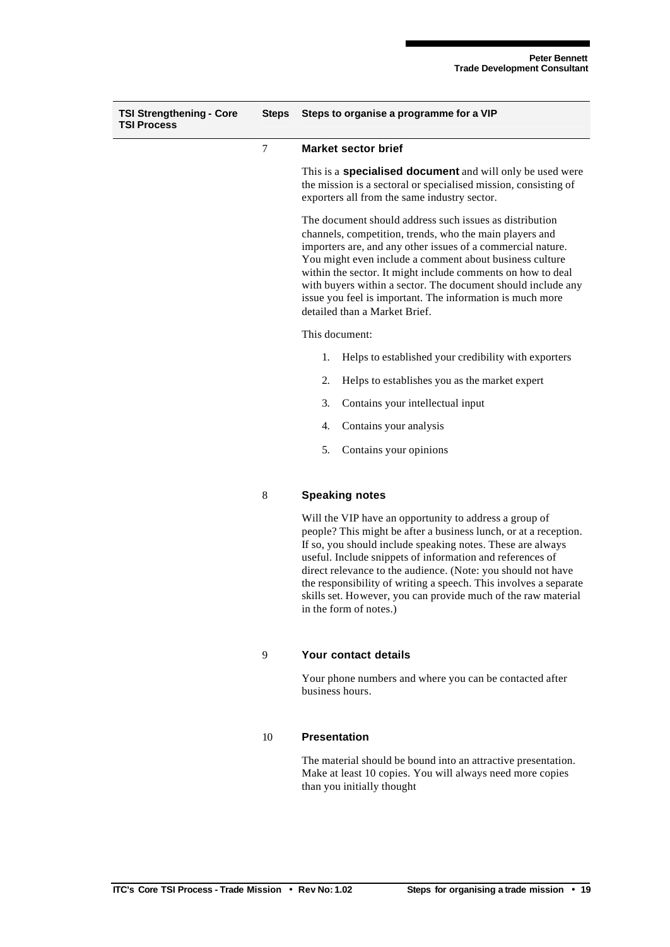| <b>TSI Strengthening - Core</b><br><b>TSI Process</b> | <b>Steps</b> | Steps to organise a programme for a VIP                                                                                                                                                                                                                                                                                                                                                                                                                                              |  |
|-------------------------------------------------------|--------------|--------------------------------------------------------------------------------------------------------------------------------------------------------------------------------------------------------------------------------------------------------------------------------------------------------------------------------------------------------------------------------------------------------------------------------------------------------------------------------------|--|
|                                                       | 7            | <b>Market sector brief</b>                                                                                                                                                                                                                                                                                                                                                                                                                                                           |  |
|                                                       |              | This is a <b>specialised document</b> and will only be used were<br>the mission is a sectoral or specialised mission, consisting of<br>exporters all from the same industry sector.                                                                                                                                                                                                                                                                                                  |  |
|                                                       |              | The document should address such issues as distribution<br>channels, competition, trends, who the main players and<br>importers are, and any other issues of a commercial nature.<br>You might even include a comment about business culture<br>within the sector. It might include comments on how to deal<br>with buyers within a sector. The document should include any<br>issue you feel is important. The information is much more<br>detailed than a Market Brief.            |  |
|                                                       |              | This document:                                                                                                                                                                                                                                                                                                                                                                                                                                                                       |  |
|                                                       |              | Helps to established your credibility with exporters<br>1.                                                                                                                                                                                                                                                                                                                                                                                                                           |  |
|                                                       |              | 2.<br>Helps to establishes you as the market expert                                                                                                                                                                                                                                                                                                                                                                                                                                  |  |
|                                                       |              | 3.<br>Contains your intellectual input                                                                                                                                                                                                                                                                                                                                                                                                                                               |  |
|                                                       |              | 4.<br>Contains your analysis                                                                                                                                                                                                                                                                                                                                                                                                                                                         |  |
|                                                       |              | 5.<br>Contains your opinions                                                                                                                                                                                                                                                                                                                                                                                                                                                         |  |
|                                                       | 8            | <b>Speaking notes</b>                                                                                                                                                                                                                                                                                                                                                                                                                                                                |  |
|                                                       |              | Will the VIP have an opportunity to address a group of<br>people? This might be after a business lunch, or at a reception.<br>If so, you should include speaking notes. These are always<br>useful. Include snippets of information and references of<br>direct relevance to the audience. (Note: you should not have<br>the responsibility of writing a speech. This involves a separate<br>skills set. However, you can provide much of the raw material<br>in the form of notes.) |  |
|                                                       | 9            | Your contact details                                                                                                                                                                                                                                                                                                                                                                                                                                                                 |  |
|                                                       |              | Your phone numbers and where you can be contacted after<br>business hours.                                                                                                                                                                                                                                                                                                                                                                                                           |  |
|                                                       |              |                                                                                                                                                                                                                                                                                                                                                                                                                                                                                      |  |

### 10 **Presentation**

The material should be bound into an attractive presentation. Make at least 10 copies. You will always need more copies than you initially thought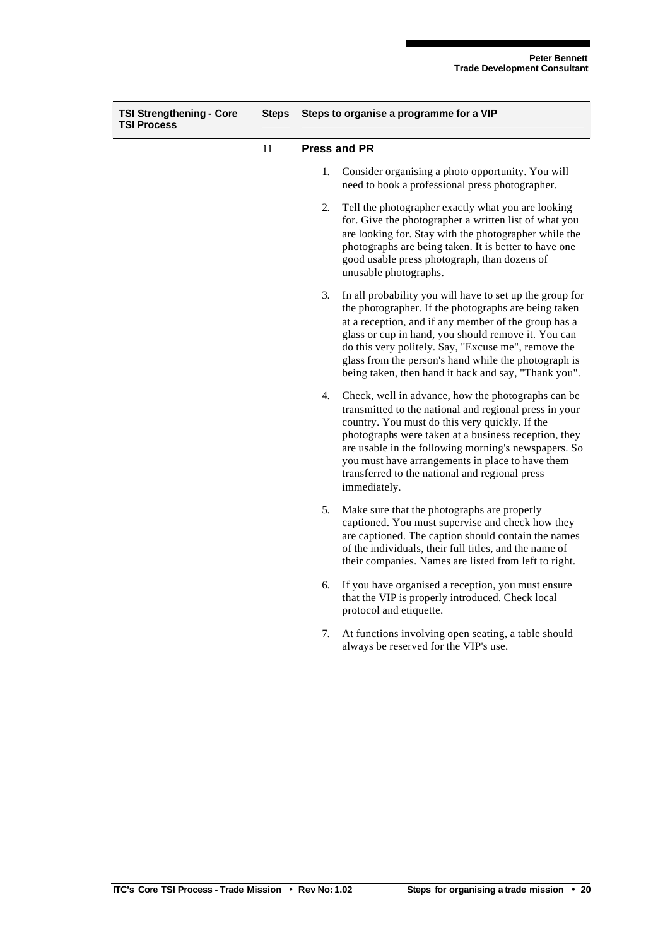| <b>TSI Strengthening - Core</b><br><b>TSI Process</b> | <b>Steps</b> | Steps to organise a programme for a VIP |                                                                                                                                                                                                                                                                                                                                                                                                        |
|-------------------------------------------------------|--------------|-----------------------------------------|--------------------------------------------------------------------------------------------------------------------------------------------------------------------------------------------------------------------------------------------------------------------------------------------------------------------------------------------------------------------------------------------------------|
|                                                       | 11           | <b>Press and PR</b>                     |                                                                                                                                                                                                                                                                                                                                                                                                        |
|                                                       |              | 1.                                      | Consider organising a photo opportunity. You will<br>need to book a professional press photographer.                                                                                                                                                                                                                                                                                                   |
|                                                       |              | 2.                                      | Tell the photographer exactly what you are looking<br>for. Give the photographer a written list of what you<br>are looking for. Stay with the photographer while the<br>photographs are being taken. It is better to have one<br>good usable press photograph, than dozens of<br>unusable photographs.                                                                                                 |
|                                                       |              | 3.                                      | In all probability you will have to set up the group for<br>the photographer. If the photographs are being taken<br>at a reception, and if any member of the group has a<br>glass or cup in hand, you should remove it. You can<br>do this very politely. Say, "Excuse me", remove the<br>glass from the person's hand while the photograph is<br>being taken, then hand it back and say, "Thank you". |
|                                                       |              | 4.                                      | Check, well in advance, how the photographs can be<br>transmitted to the national and regional press in your<br>country. You must do this very quickly. If the<br>photographs were taken at a business reception, they<br>are usable in the following morning's newspapers. So<br>you must have arrangements in place to have them<br>transferred to the national and regional press<br>immediately.   |
|                                                       |              | 5.                                      | Make sure that the photographs are properly<br>captioned. You must supervise and check how they<br>are captioned. The caption should contain the names<br>of the individuals, their full titles, and the name of<br>their companies. Names are listed from left to right.                                                                                                                              |
|                                                       |              | 6.                                      | If you have organised a reception, you must ensure<br>that the VIP is properly introduced. Check local<br>protocol and etiquette.                                                                                                                                                                                                                                                                      |
|                                                       |              | 7.                                      | At functions involving open seating, a table should<br>always be reserved for the VIP's use.                                                                                                                                                                                                                                                                                                           |
|                                                       |              |                                         |                                                                                                                                                                                                                                                                                                                                                                                                        |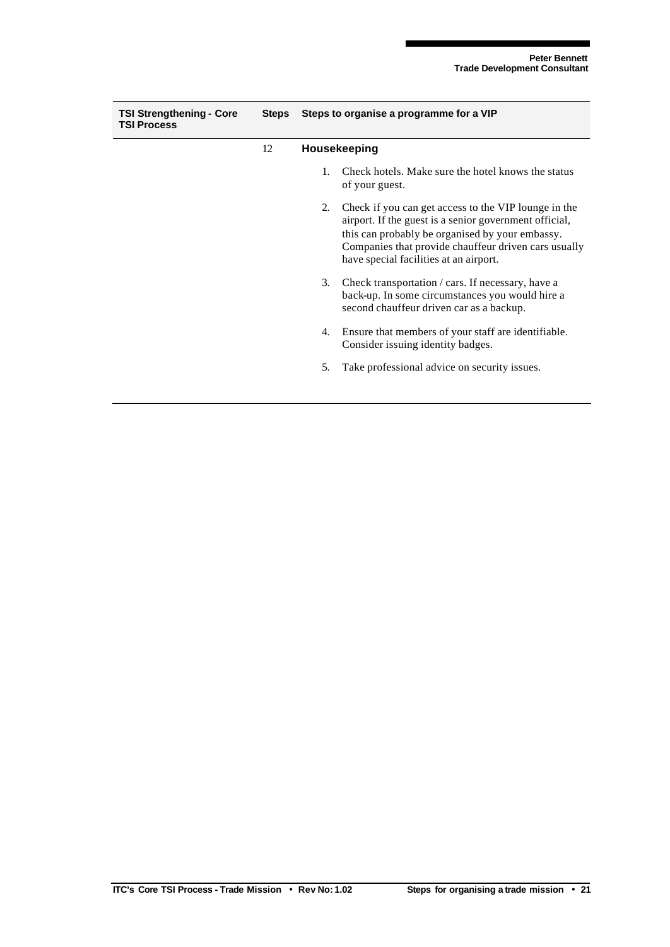| <b>TSI Strengthening - Core</b><br><b>TSI Process</b> |    | Steps Steps to organise a programme for a VIP<br>Housekeeping |                                                                                                                                                                                                                                                                     |
|-------------------------------------------------------|----|---------------------------------------------------------------|---------------------------------------------------------------------------------------------------------------------------------------------------------------------------------------------------------------------------------------------------------------------|
|                                                       | 12 |                                                               |                                                                                                                                                                                                                                                                     |
|                                                       |    | $1_{-}$                                                       | Check hotels. Make sure the hotel knows the status<br>of your guest.                                                                                                                                                                                                |
|                                                       |    | 2.                                                            | Check if you can get access to the VIP lounge in the<br>airport. If the guest is a senior government official,<br>this can probably be organised by your embassy.<br>Companies that provide chauffeur driven cars usually<br>have special facilities at an airport. |
|                                                       |    | 3.                                                            | Check transportation / cars. If necessary, have a<br>back-up. In some circumstances you would hire a<br>second chauffeur driven car as a backup.                                                                                                                    |
|                                                       |    | 4.                                                            | Ensure that members of your staff are identifiable.<br>Consider issuing identity badges.                                                                                                                                                                            |
|                                                       |    | 5.                                                            | Take professional advice on security issues.                                                                                                                                                                                                                        |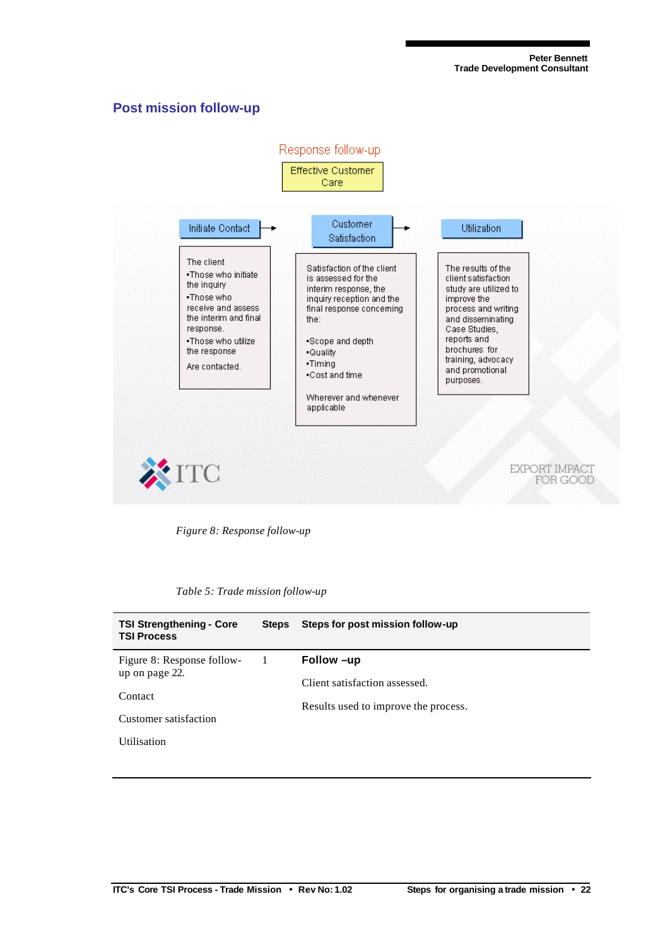### **Post mission follow-up**



*Figure 8: Response follow-up*

|  |  |  | Table 5: Trade mission follow-up |
|--|--|--|----------------------------------|
|--|--|--|----------------------------------|

| <b>TSI Strengthening - Core</b><br><b>TSI Process</b> | <b>Steps</b> | Steps for post mission follow-up     |
|-------------------------------------------------------|--------------|--------------------------------------|
| Figure 8: Response follow-                            | $\perp$      | Follow -up                           |
| up on page 22.<br>Contact                             |              | Client satisfaction assessed.        |
|                                                       |              | Results used to improve the process. |
| Customer satisfaction                                 |              |                                      |
| <b>Utilisation</b>                                    |              |                                      |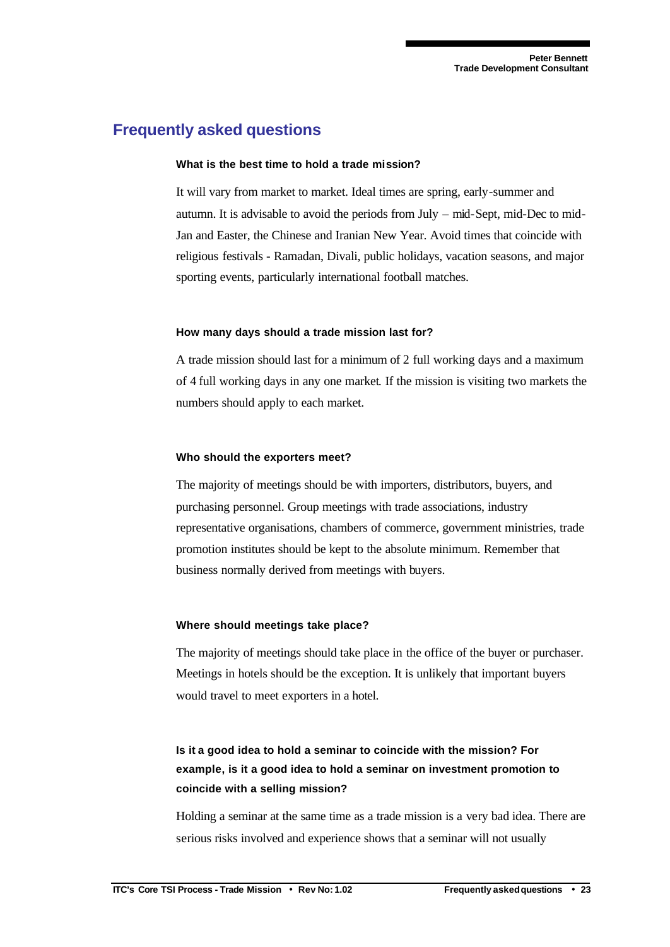## **Frequently asked questions**

#### **What is the best time to hold a trade mission?**

It will vary from market to market. Ideal times are spring, early-summer and autumn. It is advisable to avoid the periods from July – mid-Sept, mid-Dec to mid-Jan and Easter, the Chinese and Iranian New Year. Avoid times that coincide with religious festivals - Ramadan, Divali, public holidays, vacation seasons, and major sporting events, particularly international football matches.

#### **How many days should a trade mission last for?**

A trade mission should last for a minimum of 2 full working days and a maximum of 4 full working days in any one market. If the mission is visiting two markets the numbers should apply to each market.

#### **Who should the exporters meet?**

The majority of meetings should be with importers, distributors, buyers, and purchasing personnel. Group meetings with trade associations, industry representative organisations, chambers of commerce, government ministries, trade promotion institutes should be kept to the absolute minimum. Remember that business normally derived from meetings with buyers.

#### **Where should meetings take place?**

The majority of meetings should take place in the office of the buyer or purchaser. Meetings in hotels should be the exception. It is unlikely that important buyers would travel to meet exporters in a hotel.

## **Is it a good idea to hold a seminar to coincide with the mission? For example, is it a good idea to hold a seminar on investment promotion to coincide with a selling mission?**

Holding a seminar at the same time as a trade mission is a very bad idea. There are serious risks involved and experience shows that a seminar will not usually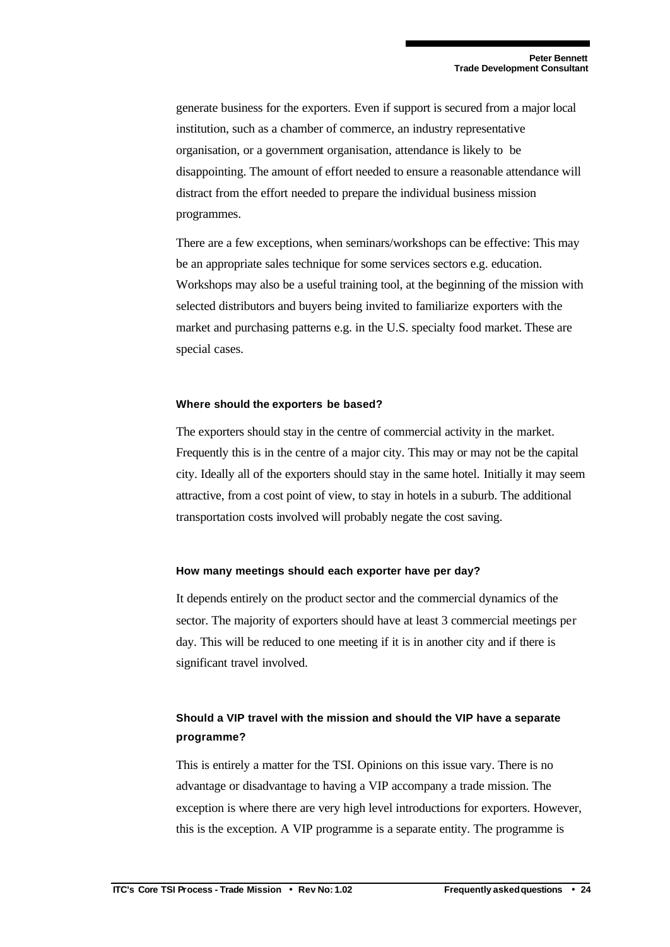generate business for the exporters. Even if support is secured from a major local institution, such as a chamber of commerce, an industry representative organisation, or a government organisation, attendance is likely to be disappointing. The amount of effort needed to ensure a reasonable attendance will distract from the effort needed to prepare the individual business mission programmes.

There are a few exceptions, when seminars/workshops can be effective: This may be an appropriate sales technique for some services sectors e.g. education. Workshops may also be a useful training tool, at the beginning of the mission with selected distributors and buyers being invited to familiarize exporters with the market and purchasing patterns e.g. in the U.S. specialty food market. These are special cases.

#### **Where should the exporters be based?**

The exporters should stay in the centre of commercial activity in the market. Frequently this is in the centre of a major city. This may or may not be the capital city. Ideally all of the exporters should stay in the same hotel. Initially it may seem attractive, from a cost point of view, to stay in hotels in a suburb. The additional transportation costs involved will probably negate the cost saving.

#### **How many meetings should each exporter have per day?**

It depends entirely on the product sector and the commercial dynamics of the sector. The majority of exporters should have at least 3 commercial meetings per day. This will be reduced to one meeting if it is in another city and if there is significant travel involved.

### **Should a VIP travel with the mission and should the VIP have a separate programme?**

This is entirely a matter for the TSI. Opinions on this issue vary. There is no advantage or disadvantage to having a VIP accompany a trade mission. The exception is where there are very high level introductions for exporters. However, this is the exception. A VIP programme is a separate entity. The programme is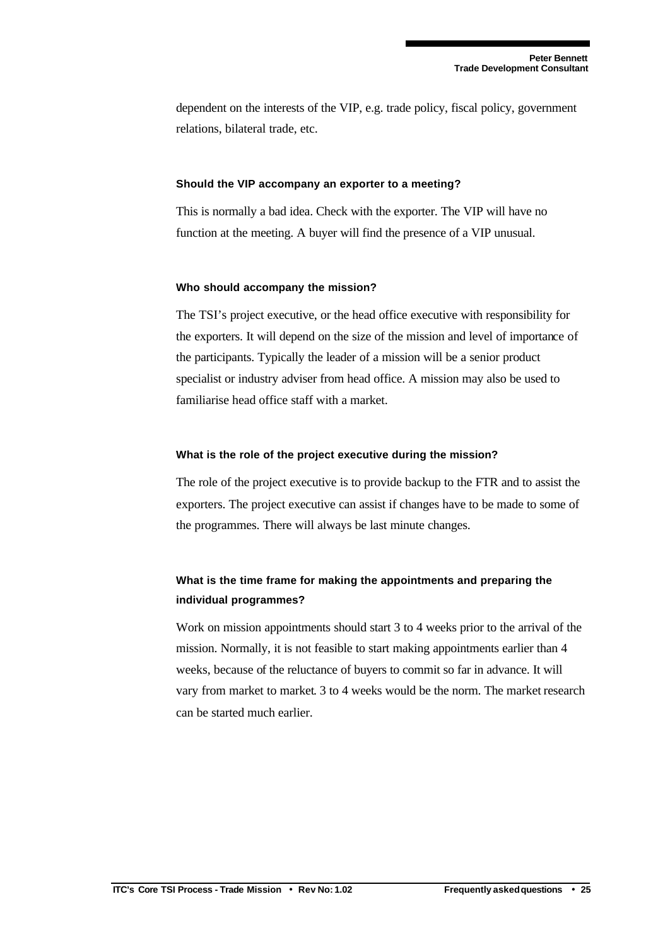dependent on the interests of the VIP, e.g. trade policy, fiscal policy, government relations, bilateral trade, etc.

#### **Should the VIP accompany an exporter to a meeting?**

This is normally a bad idea. Check with the exporter. The VIP will have no function at the meeting. A buyer will find the presence of a VIP unusual.

#### **Who should accompany the mission?**

The TSI's project executive, or the head office executive with responsibility for the exporters. It will depend on the size of the mission and level of importance of the participants. Typically the leader of a mission will be a senior product specialist or industry adviser from head office. A mission may also be used to familiarise head office staff with a market.

#### **What is the role of the project executive during the mission?**

The role of the project executive is to provide backup to the FTR and to assist the exporters. The project executive can assist if changes have to be made to some of the programmes. There will always be last minute changes.

### **What is the time frame for making the appointments and preparing the individual programmes?**

Work on mission appointments should start 3 to 4 weeks prior to the arrival of the mission. Normally, it is not feasible to start making appointments earlier than 4 weeks, because of the reluctance of buyers to commit so far in advance. It will vary from market to market. 3 to 4 weeks would be the norm. The market research can be started much earlier.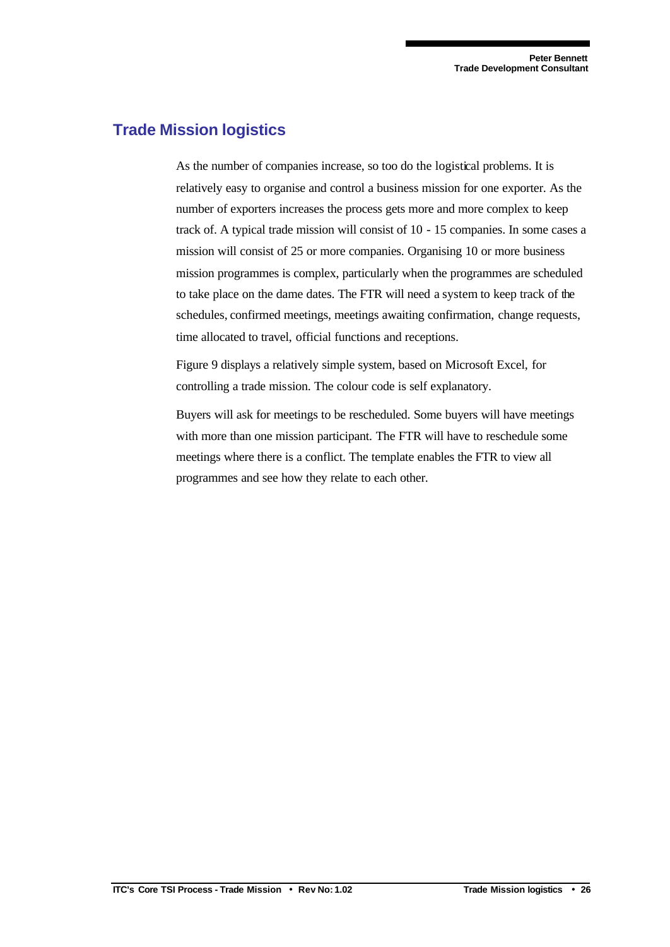## **Trade Mission logistics**

As the number of companies increase, so too do the logistical problems. It is relatively easy to organise and control a business mission for one exporter. As the number of exporters increases the process gets more and more complex to keep track of. A typical trade mission will consist of 10 - 15 companies. In some cases a mission will consist of 25 or more companies. Organising 10 or more business mission programmes is complex, particularly when the programmes are scheduled to take place on the dame dates. The FTR will need a system to keep track of the schedules, confirmed meetings, meetings awaiting confirmation, change requests, time allocated to travel, official functions and receptions.

Figure 9 displays a relatively simple system, based on Microsoft Excel, for controlling a trade mission. The colour code is self explanatory.

Buyers will ask for meetings to be rescheduled. Some buyers will have meetings with more than one mission participant. The FTR will have to reschedule some meetings where there is a conflict. The template enables the FTR to view all programmes and see how they relate to each other.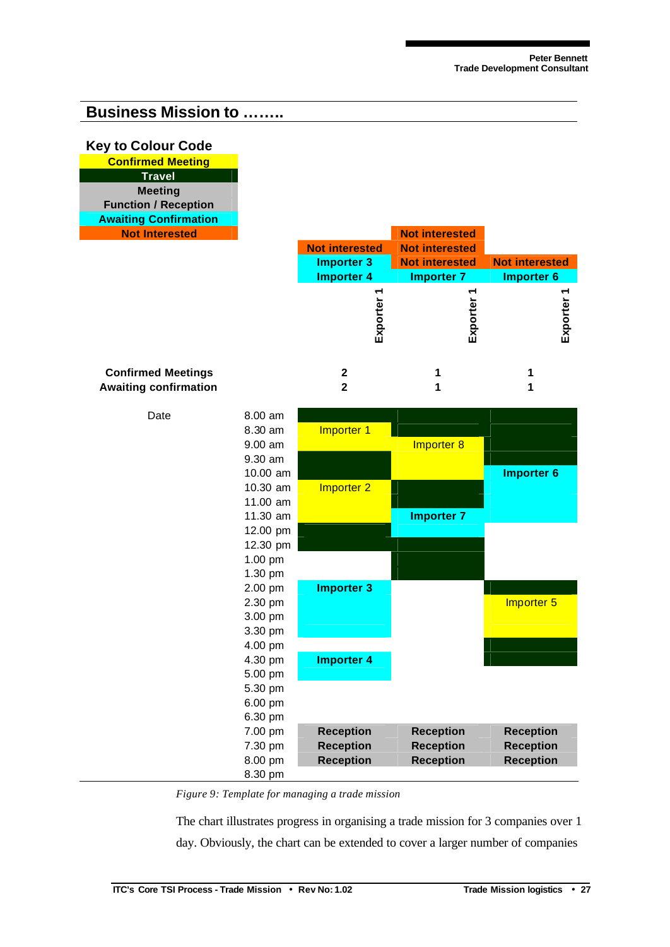## **Business Mission to ……..**

### **Key to Colour Code**

| <b>Confirmed Meeting</b>     |
|------------------------------|
| <b>Travel</b>                |
| <b>Meeting</b>               |
| <b>Function / Reception</b>  |
| <b>Awaiting Confirmation</b> |
| <b>Not Interested</b>        |
|                              |

| <b>Not Interested</b> |                       | <b>Not interested</b> |                       |
|-----------------------|-----------------------|-----------------------|-----------------------|
|                       | <b>Not interested</b> | <b>Not interested</b> |                       |
|                       | <b>Importer 3</b>     | <b>Not interested</b> | <b>Not interested</b> |
|                       | <b>Importer 4</b>     | <b>Importer 7</b>     | Importer 6            |
|                       |                       |                       |                       |
|                       |                       |                       |                       |
|                       |                       |                       |                       |
|                       | Ēχ                    | Ξxρ                   | Ξxρ                   |
|                       |                       |                       |                       |
|                       |                       |                       |                       |
| nfirmed Meetings      |                       |                       |                       |
| iting confirmation    |                       |                       |                       |

### **Confirmed Meetings 2 1 1 Awaiting confirmation 2 1 1**



*Figure 9: Template for managing a trade mission*

The chart illustrates progress in organising a trade mission for 3 companies over 1 day. Obviously, the chart can be extended to cover a larger number of companies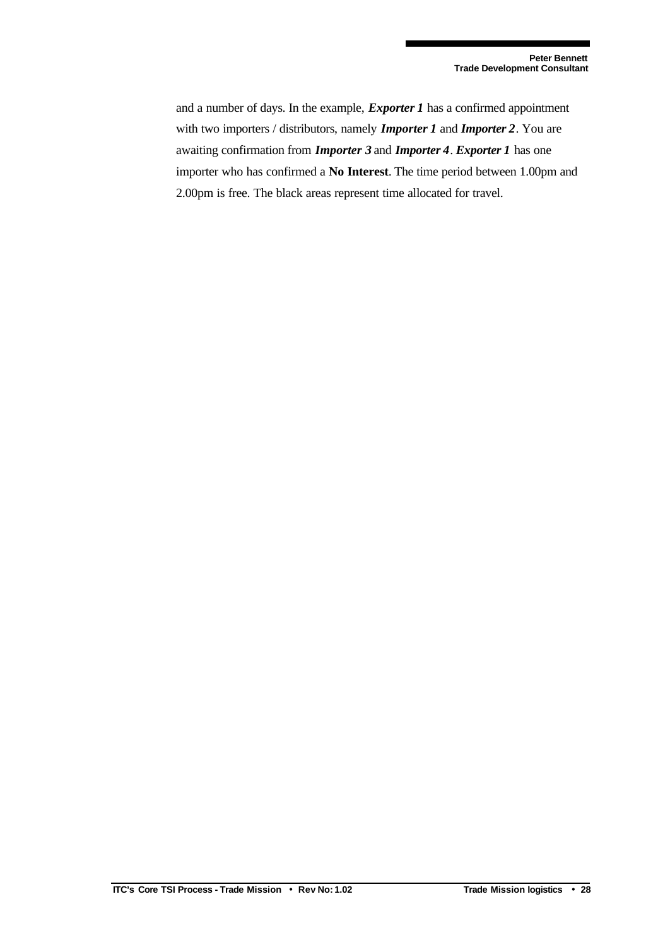and a number of days. In the example, *Exporter 1* has a confirmed appointment with two importers / distributors, namely *Importer 1* and *Importer 2*. You are awaiting confirmation from *Importer 3* and *Importer 4*. *Exporter 1* has one importer who has confirmed a **No Interest**. The time period between 1.00pm and 2.00pm is free. The black areas represent time allocated for travel.